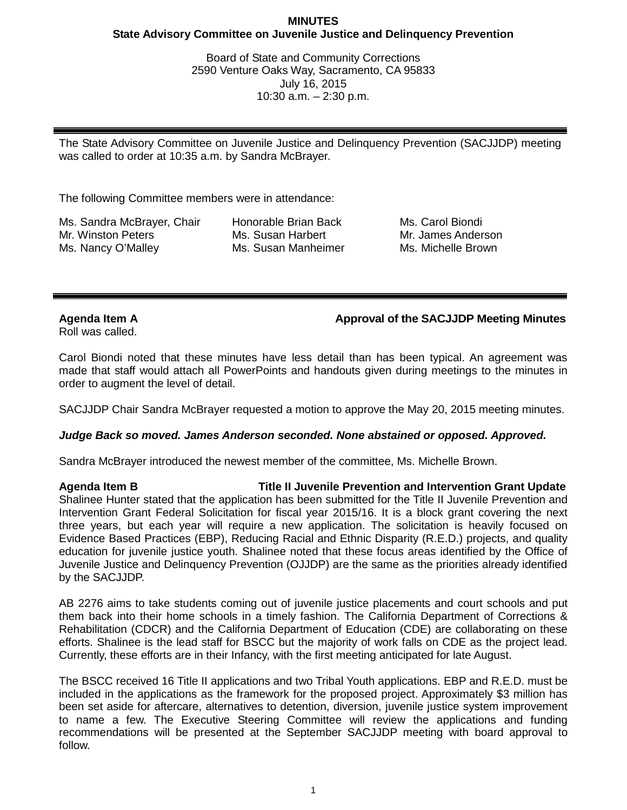### **MINUTES State Advisory Committee on Juvenile Justice and Delinquency Prevention**

Board of State and Community Corrections 2590 Venture Oaks Way, Sacramento, CA 95833 July 16, 2015 10:30 a.m. – 2:30 p.m.

The State Advisory Committee on Juvenile Justice and Delinquency Prevention (SACJJDP) meeting was called to order at 10:35 a.m. by Sandra McBrayer.

The following Committee members were in attendance:

Ms. Sandra McBrayer, Chair Mr. Winston Peters Ms. Nancy O'Malley

Honorable Brian Back Ms. Susan Harbert Ms. Susan Manheimer Ms. Carol Biondi Mr. James Anderson Ms. Michelle Brown

### **Agenda Item A Approval of the SACJJDP Meeting Minutes**

Roll was called.

Carol Biondi noted that these minutes have less detail than has been typical. An agreement was made that staff would attach all PowerPoints and handouts given during meetings to the minutes in order to augment the level of detail.

SACJJDP Chair Sandra McBrayer requested a motion to approve the May 20, 2015 meeting minutes.

### *Judge Back so moved. James Anderson seconded. None abstained or opposed. Approved.*

Sandra McBrayer introduced the newest member of the committee, Ms. Michelle Brown.

**Agenda Item B Title II Juvenile Prevention and Intervention Grant Update** Shalinee Hunter stated that the application has been submitted for the Title II Juvenile Prevention and Intervention Grant Federal Solicitation for fiscal year 2015/16. It is a block grant covering the next three years, but each year will require a new application. The solicitation is heavily focused on Evidence Based Practices (EBP), Reducing Racial and Ethnic Disparity (R.E.D.) projects, and quality education for juvenile justice youth. Shalinee noted that these focus areas identified by the Office of Juvenile Justice and Delinquency Prevention (OJJDP) are the same as the priorities already identified by the SACJJDP.

AB 2276 aims to take students coming out of juvenile justice placements and court schools and put them back into their home schools in a timely fashion. The California Department of Corrections & Rehabilitation (CDCR) and the California Department of Education (CDE) are collaborating on these efforts. Shalinee is the lead staff for BSCC but the majority of work falls on CDE as the project lead. Currently, these efforts are in their Infancy, with the first meeting anticipated for late August.

The BSCC received 16 Title II applications and two Tribal Youth applications. EBP and R.E.D. must be included in the applications as the framework for the proposed project. Approximately \$3 million has been set aside for aftercare, alternatives to detention, diversion, juvenile justice system improvement to name a few. The Executive Steering Committee will review the applications and funding recommendations will be presented at the September SACJJDP meeting with board approval to follow.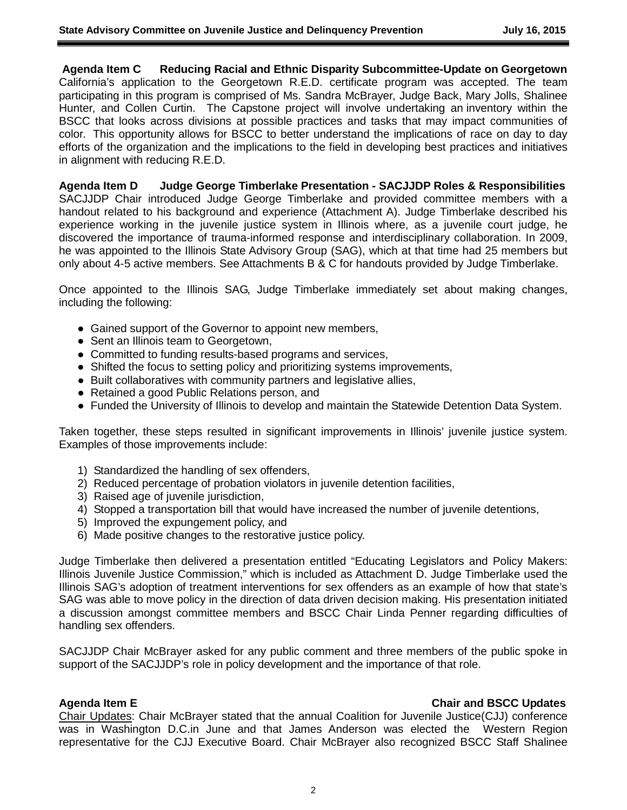**Agenda Item C Reducing Racial and Ethnic Disparity Subcommittee-Update on Georgetown** California's application to the Georgetown R.E.D. certificate program was accepted. The team participating in this program is comprised of Ms. Sandra McBrayer, Judge Back, Mary Jolls, Shalinee Hunter, and Collen Curtin. The Capstone project will involve undertaking an inventory within the BSCC that looks across divisions at possible practices and tasks that may impact communities of color. This opportunity allows for BSCC to better understand the implications of race on day to day efforts of the organization and the implications to the field in developing best practices and initiatives in alignment with reducing R.E.D.

**Agenda Item D Judge George Timberlake Presentation - SACJJDP Roles & Responsibilities** SACJJDP Chair introduced Judge George Timberlake and provided committee members with a handout related to his background and experience (Attachment A). Judge Timberlake described his experience working in the juvenile justice system in Illinois where, as a juvenile court judge, he discovered the importance of trauma-informed response and interdisciplinary collaboration. In 2009, he was appointed to the Illinois State Advisory Group (SAG), which at that time had 25 members but only about 4-5 active members. See Attachments B & C for handouts provided by Judge Timberlake.

Once appointed to the Illinois SAG, Judge Timberlake immediately set about making changes, including the following:

- Gained support of the Governor to appoint new members,
- Sent an Illinois team to Georgetown,
- Committed to funding results-based programs and services,
- Shifted the focus to setting policy and prioritizing systems improvements,
- Built collaboratives with community partners and legislative allies,
- Retained a good Public Relations person, and
- Funded the University of Illinois to develop and maintain the Statewide Detention Data System.

Taken together, these steps resulted in significant improvements in Illinois' juvenile justice system. Examples of those improvements include:

- 1) Standardized the handling of sex offenders,
- 2) Reduced percentage of probation violators in juvenile detention facilities,
- 3) Raised age of juvenile jurisdiction,
- 4) Stopped a transportation bill that would have increased the number of juvenile detentions,
- 5) Improved the expungement policy, and
- 6) Made positive changes to the restorative justice policy.

Judge Timberlake then delivered a presentation entitled "Educating Legislators and Policy Makers: Illinois Juvenile Justice Commission," which is included as Attachment D. Judge Timberlake used the Illinois SAG's adoption of treatment interventions for sex offenders as an example of how that state's SAG was able to move policy in the direction of data driven decision making. His presentation initiated a discussion amongst committee members and BSCC Chair Linda Penner regarding difficulties of handling sex offenders.

SACJJDP Chair McBrayer asked for any public comment and three members of the public spoke in support of the SACJJDP's role in policy development and the importance of that role.

# **Agenda Item E Chair and BSCC Updates**

Chair Updates: Chair McBrayer stated that the annual Coalition for Juvenile Justice(CJJ) conference was in Washington D.C.in June and that James Anderson was elected the Western Region representative for the CJJ Executive Board. Chair McBrayer also recognized BSCC Staff Shalinee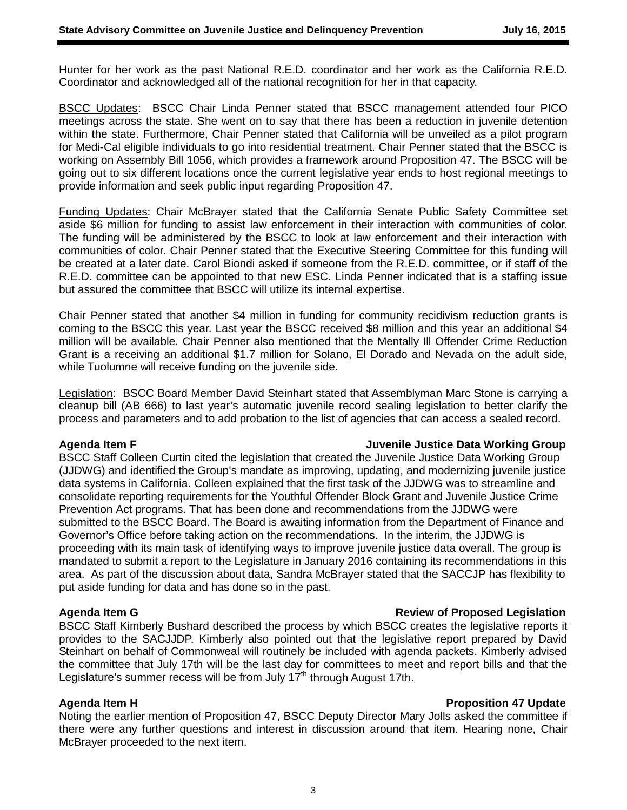Hunter for her work as the past National R.E.D. coordinator and her work as the California R.E.D. Coordinator and acknowledged all of the national recognition for her in that capacity.

BSCC Updates: BSCC Chair Linda Penner stated that BSCC management attended four PICO meetings across the state. She went on to say that there has been a reduction in juvenile detention within the state. Furthermore, Chair Penner stated that California will be unveiled as a pilot program for Medi-Cal eligible individuals to go into residential treatment. Chair Penner stated that the BSCC is working on Assembly Bill 1056, which provides a framework around Proposition 47. The BSCC will be going out to six different locations once the current legislative year ends to host regional meetings to provide information and seek public input regarding Proposition 47.

Funding Updates: Chair McBrayer stated that the California Senate Public Safety Committee set aside \$6 million for funding to assist law enforcement in their interaction with communities of color. The funding will be administered by the BSCC to look at law enforcement and their interaction with communities of color. Chair Penner stated that the Executive Steering Committee for this funding will be created at a later date. Carol Biondi asked if someone from the R.E.D. committee, or if staff of the R.E.D. committee can be appointed to that new ESC. Linda Penner indicated that is a staffing issue but assured the committee that BSCC will utilize its internal expertise.

Chair Penner stated that another \$4 million in funding for community recidivism reduction grants is coming to the BSCC this year. Last year the BSCC received \$8 million and this year an additional \$4 million will be available. Chair Penner also mentioned that the Mentally Ill Offender Crime Reduction Grant is a receiving an additional \$1.7 million for Solano, El Dorado and Nevada on the adult side, while Tuolumne will receive funding on the juvenile side.

Legislation: BSCC Board Member David Steinhart stated that Assemblyman Marc Stone is carrying a cleanup bill (AB 666) to last year's automatic juvenile record sealing legislation to better clarify the process and parameters and to add probation to the list of agencies that can access a sealed record.

#### **Agenda Item F Juvenile Justice Data Working Group**

BSCC Staff Colleen Curtin cited the legislation that created the Juvenile Justice Data Working Group (JJDWG) and identified the Group's mandate as improving, updating, and modernizing juvenile justice data systems in California. Colleen explained that the first task of the JJDWG was to streamline and consolidate reporting requirements for the Youthful Offender Block Grant and Juvenile Justice Crime Prevention Act programs. That has been done and recommendations from the JJDWG were submitted to the BSCC Board. The Board is awaiting information from the Department of Finance and Governor's Office before taking action on the recommendations. In the interim, the JJDWG is proceeding with its main task of identifying ways to improve juvenile justice data overall. The group is mandated to submit a report to the Legislature in January 2016 containing its recommendations in this area. As part of the discussion about data, Sandra McBrayer stated that the SACCJP has flexibility to put aside funding for data and has done so in the past.

### **Agenda Item G Review of Proposed Legislation**

BSCC Staff Kimberly Bushard described the process by which BSCC creates the legislative reports it provides to the SACJJDP. Kimberly also pointed out that the legislative report prepared by David Steinhart on behalf of Commonweal will routinely be included with agenda packets. Kimberly advised the committee that July 17th will be the last day for committees to meet and report bills and that the Legislature's summer recess will be from July  $17<sup>th</sup>$  through August 17th.

Noting the earlier mention of Proposition 47, BSCC Deputy Director Mary Jolls asked the committee if there were any further questions and interest in discussion around that item. Hearing none, Chair McBrayer proceeded to the next item.

# **Agenda Item H Proposition 47 Update**